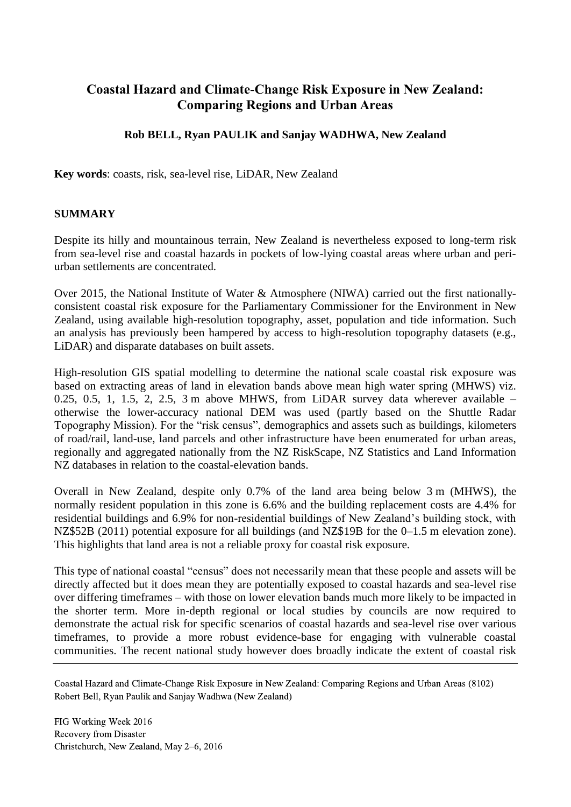# **Coastal Hazard and Climate-Change Risk Exposure in New Zealand: Comparing Regions and Urban Areas**

## **Rob BELL, Ryan PAULIK and Sanjay WADHWA, New Zealand**

**Key words**: coasts, risk, sea-level rise, LiDAR, New Zealand

### **SUMMARY**

Despite its hilly and mountainous terrain, New Zealand is nevertheless exposed to long-term risk from sea-level rise and coastal hazards in pockets of low-lying coastal areas where urban and periurban settlements are concentrated.

Over 2015, the National Institute of Water & Atmosphere (NIWA) carried out the first nationallyconsistent coastal risk exposure for the Parliamentary Commissioner for the Environment in New Zealand, using available high-resolution topography, asset, population and tide information. Such an analysis has previously been hampered by access to high-resolution topography datasets (e.g., LiDAR) and disparate databases on built assets.

High-resolution GIS spatial modelling to determine the national scale coastal risk exposure was based on extracting areas of land in elevation bands above mean high water spring (MHWS) viz. 0.25, 0.5, 1, 1.5, 2, 2.5, 3 m above MHWS, from LiDAR survey data wherever available  $$ otherwise the lower-accuracy national DEM was used (partly based on the Shuttle Radar Topography Mission). For the "risk census", demographics and assets such as buildings, kilometers of road/rail, land-use, land parcels and other infrastructure have been enumerated for urban areas, regionally and aggregated nationally from the NZ RiskScape, NZ Statistics and Land Information NZ databases in relation to the coastal-elevation bands.

Overall in New Zealand, despite only 0.7% of the land area being below 3 m (MHWS), the normally resident population in this zone is 6.6% and the building replacement costs are 4.4% for residential buildings and 6.9% for non-residential buildings of New Zealand's building stock, with NZ\$52B (2011) potential exposure for all buildings (and NZ\$19B for the 0–1.5 m elevation zone). This highlights that land area is not a reliable proxy for coastal risk exposure.

This type of national coastal "census" does not necessarily mean that these people and assets will be directly affected but it does mean they are potentially exposed to coastal hazards and sea-level rise over differing timeframes – with those on lower elevation bands much more likely to be impacted in the shorter term. More in-depth regional or local studies by councils are now required to demonstrate the actual risk for specific scenarios of coastal hazards and sea-level rise over various timeframes, to provide a more robust evidence-base for engaging with vulnerable coastal communities. The recent national study however does broadly indicate the extent of coastal risk

Coastal Hazard and Climate-Change Risk Exposure in New Zealand: Comparing Regions and Urban Areas (8102) Robert Bell, Ryan Paulik and Sanjay Wadhwa (New Zealand)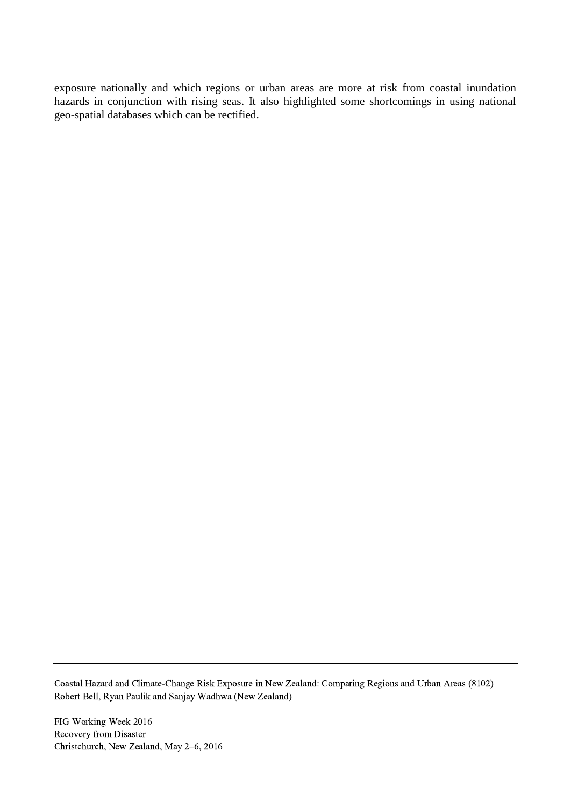exposure nationally and which regions or urban areas are more at risk from coastal inundation hazards in conjunction with rising seas. It also highlighted some shortcomings in using national geo-spatial databases which can be rectified.

Coastal Hazard and Climate-Change Risk Exposure in New Zealand: Comparing Regions and Urban Areas (8102) Robert Bell, Ryan Paulik and Sanjay Wadhwa (New Zealand)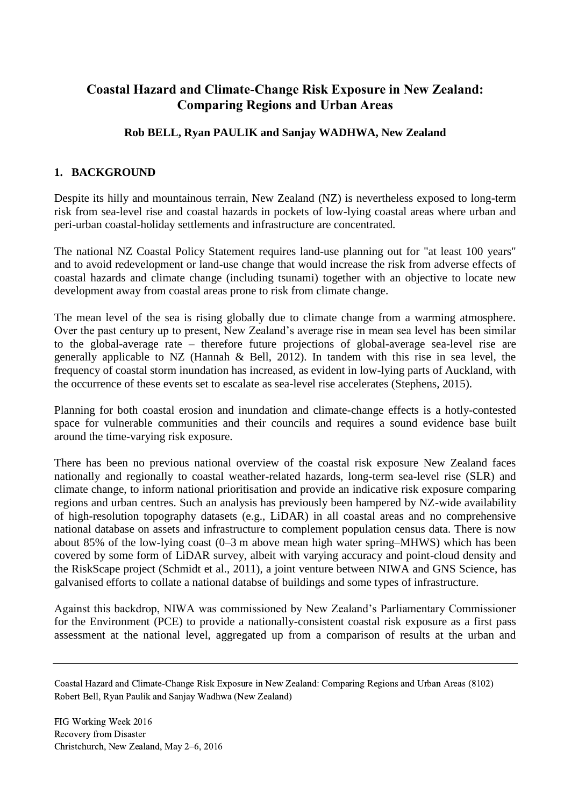# **Coastal Hazard and Climate-Change Risk Exposure in New Zealand: Comparing Regions and Urban Areas**

# **Rob BELL, Ryan PAULIK and Sanjay WADHWA, New Zealand**

## **1. BACKGROUND**

Despite its hilly and mountainous terrain, New Zealand (NZ) is nevertheless exposed to long-term risk from sea-level rise and coastal hazards in pockets of low-lying coastal areas where urban and peri-urban coastal-holiday settlements and infrastructure are concentrated.

The national NZ Coastal Policy Statement requires land-use planning out for "at least 100 years" and to avoid redevelopment or land-use change that would increase the risk from adverse effects of coastal hazards and climate change (including tsunami) together with an objective to locate new development away from coastal areas prone to risk from climate change.

The mean level of the sea is rising globally due to climate change from a warming atmosphere. Over the past century up to present, New Zealand's average rise in mean sea level has been similar to the global-average rate – therefore future projections of global-average sea-level rise are generally applicable to NZ (Hannah & Bell, 2012). In tandem with this rise in sea level, the frequency of coastal storm inundation has increased, as evident in low-lying parts of Auckland, with the occurrence of these events set to escalate as sea-level rise accelerates (Stephens, 2015).

Planning for both coastal erosion and inundation and climate-change effects is a hotly-contested space for vulnerable communities and their councils and requires a sound evidence base built around the time-varying risk exposure.

There has been no previous national overview of the coastal risk exposure New Zealand faces nationally and regionally to coastal weather-related hazards, long-term sea-level rise (SLR) and climate change, to inform national prioritisation and provide an indicative risk exposure comparing regions and urban centres. Such an analysis has previously been hampered by NZ-wide availability of high-resolution topography datasets (e.g., LiDAR) in all coastal areas and no comprehensive national database on assets and infrastructure to complement population census data. There is now about 85% of the low-lying coast (0–3 m above mean high water spring–MHWS) which has been covered by some form of LiDAR survey, albeit with varying accuracy and point-cloud density and the RiskScape project (Schmidt et al., 2011), a joint venture between NIWA and GNS Science, has galvanised efforts to collate a national databse of buildings and some types of infrastructure.

Against this backdrop, NIWA was commissioned by New Zealand's Parliamentary Commissioner for the Environment (PCE) to provide a nationally-consistent coastal risk exposure as a first pass assessment at the national level, aggregated up from a comparison of results at the urban and

Coastal Hazard and Climate-Change Risk Exposure in New Zealand: Comparing Regions and Urban Areas (8102) Robert Bell, Ryan Paulik and Sanjay Wadhwa (New Zealand)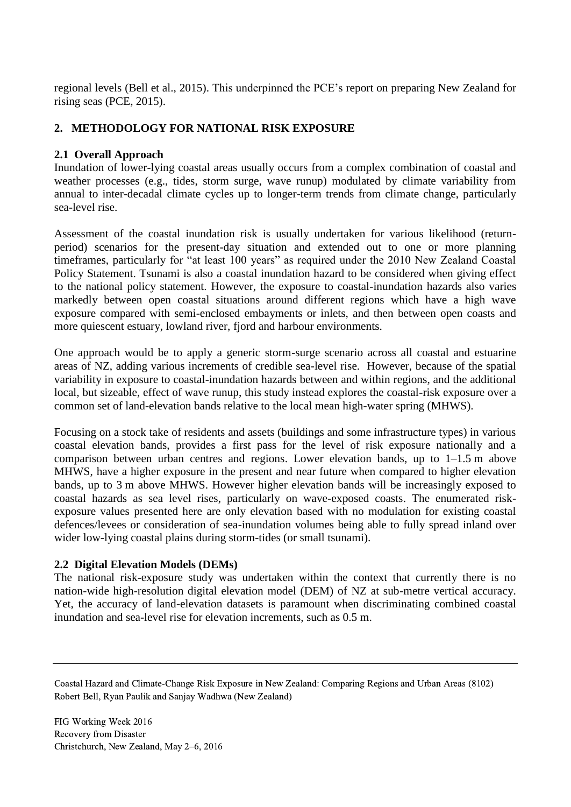regional levels (Bell et al., 2015). This underpinned the PCE's report on preparing New Zealand for rising seas (PCE, 2015).

# **2. METHODOLOGY FOR NATIONAL RISK EXPOSURE**

## **2.1 Overall Approach**

Inundation of lower-lying coastal areas usually occurs from a complex combination of coastal and weather processes (e.g., tides, storm surge, wave runup) modulated by climate variability from annual to inter-decadal climate cycles up to longer-term trends from climate change, particularly sea-level rise.

Assessment of the coastal inundation risk is usually undertaken for various likelihood (returnperiod) scenarios for the present-day situation and extended out to one or more planning timeframes, particularly for "at least 100 years" as required under the 2010 New Zealand Coastal Policy Statement. Tsunami is also a coastal inundation hazard to be considered when giving effect to the national policy statement. However, the exposure to coastal-inundation hazards also varies markedly between open coastal situations around different regions which have a high wave exposure compared with semi-enclosed embayments or inlets, and then between open coasts and more quiescent estuary, lowland river, fjord and harbour environments.

One approach would be to apply a generic storm-surge scenario across all coastal and estuarine areas of NZ, adding various increments of credible sea-level rise. However, because of the spatial variability in exposure to coastal-inundation hazards between and within regions, and the additional local, but sizeable, effect of wave runup, this study instead explores the coastal-risk exposure over a common set of land-elevation bands relative to the local mean high-water spring (MHWS).

Focusing on a stock take of residents and assets (buildings and some infrastructure types) in various coastal elevation bands, provides a first pass for the level of risk exposure nationally and a comparison between urban centres and regions. Lower elevation bands, up to 1–1.5 m above MHWS, have a higher exposure in the present and near future when compared to higher elevation bands, up to 3 m above MHWS. However higher elevation bands will be increasingly exposed to coastal hazards as sea level rises, particularly on wave-exposed coasts. The enumerated riskexposure values presented here are only elevation based with no modulation for existing coastal defences/levees or consideration of sea-inundation volumes being able to fully spread inland over wider low-lying coastal plains during storm-tides (or small tsunami).

## **2.2 Digital Elevation Models (DEMs)**

The national risk-exposure study was undertaken within the context that currently there is no nation-wide high-resolution digital elevation model (DEM) of NZ at sub-metre vertical accuracy. Yet, the accuracy of land-elevation datasets is paramount when discriminating combined coastal inundation and sea-level rise for elevation increments, such as 0.5 m.

Coastal Hazard and Climate-Change Risk Exposure in New Zealand: Comparing Regions and Urban Areas (8102) Robert Bell, Ryan Paulik and Sanjay Wadhwa (New Zealand)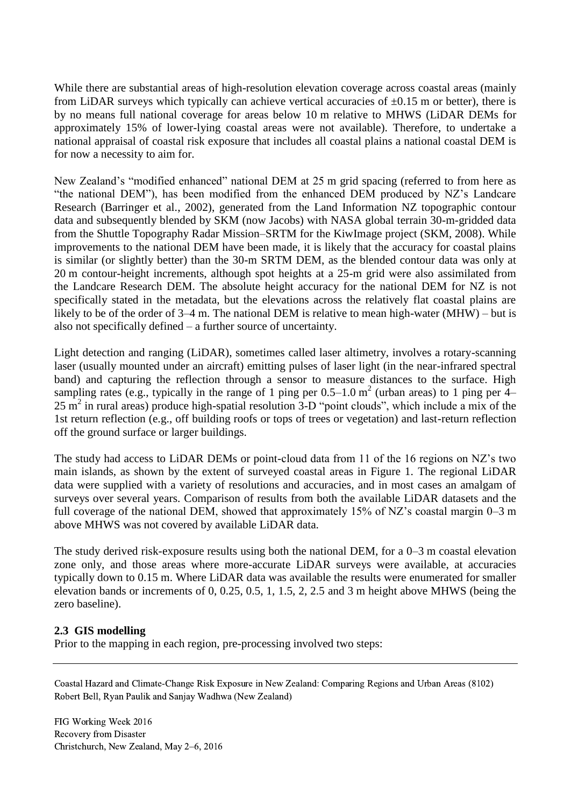While there are substantial areas of high-resolution elevation coverage across coastal areas (mainly from LiDAR surveys which typically can achieve vertical accuracies of  $\pm 0.15$  m or better), there is by no means full national coverage for areas below 10 m relative to MHWS (LiDAR DEMs for approximately 15% of lower-lying coastal areas were not available). Therefore, to undertake a national appraisal of coastal risk exposure that includes all coastal plains a national coastal DEM is for now a necessity to aim for.

New Zealand's "modified enhanced" national DEM at 25 m grid spacing (referred to from here as "the national DEM"), has been modified from the enhanced DEM produced by NZ's Landcare Research (Barringer et al., 2002), generated from the Land Information NZ topographic contour data and subsequently blended by SKM (now Jacobs) with NASA global terrain 30-m-gridded data from the Shuttle Topography Radar Mission–SRTM for the KiwImage project (SKM, 2008). While improvements to the national DEM have been made, it is likely that the accuracy for coastal plains is similar (or slightly better) than the 30-m SRTM DEM, as the blended contour data was only at 20 m contour-height increments, although spot heights at a 25-m grid were also assimilated from the Landcare Research DEM. The absolute height accuracy for the national DEM for NZ is not specifically stated in the metadata, but the elevations across the relatively flat coastal plains are likely to be of the order of 3–4 m. The national DEM is relative to mean high-water (MHW) – but is also not specifically defined – a further source of uncertainty.

Light detection and ranging (LiDAR), sometimes called laser altimetry, involves a rotary-scanning laser (usually mounted under an aircraft) emitting pulses of laser light (in the near-infrared spectral band) and capturing the reflection through a sensor to measure distances to the surface. High sampling rates (e.g., typically in the range of 1 ping per  $0.5-1.0$  m<sup>2</sup> (urban areas) to 1 ping per  $4-$ 25 m<sup>2</sup> in rural areas) produce high-spatial resolution 3-D "point clouds", which include a mix of the 1st return reflection (e.g., off building roofs or tops of trees or vegetation) and last-return reflection off the ground surface or larger buildings.

The study had access to LiDAR DEMs or point-cloud data from 11 of the 16 regions on NZ's two main islands, as shown by the extent of surveyed coastal areas in Figure 1. The regional LiDAR data were supplied with a variety of resolutions and accuracies, and in most cases an amalgam of surveys over several years. Comparison of results from both the available LiDAR datasets and the full coverage of the national DEM, showed that approximately 15% of NZ's coastal margin 0–3 m above MHWS was not covered by available LiDAR data.

The study derived risk-exposure results using both the national DEM, for a 0–3 m coastal elevation zone only, and those areas where more-accurate LiDAR surveys were available, at accuracies typically down to 0.15 m. Where LiDAR data was available the results were enumerated for smaller elevation bands or increments of 0, 0.25, 0.5, 1, 1.5, 2, 2.5 and 3 m height above MHWS (being the zero baseline).

## **2.3 GIS modelling**

Prior to the mapping in each region, pre-processing involved two steps:

Coastal Hazard and Climate-Change Risk Exposure in New Zealand: Comparing Regions and Urban Areas (8102) Robert Bell, Ryan Paulik and Sanjay Wadhwa (New Zealand)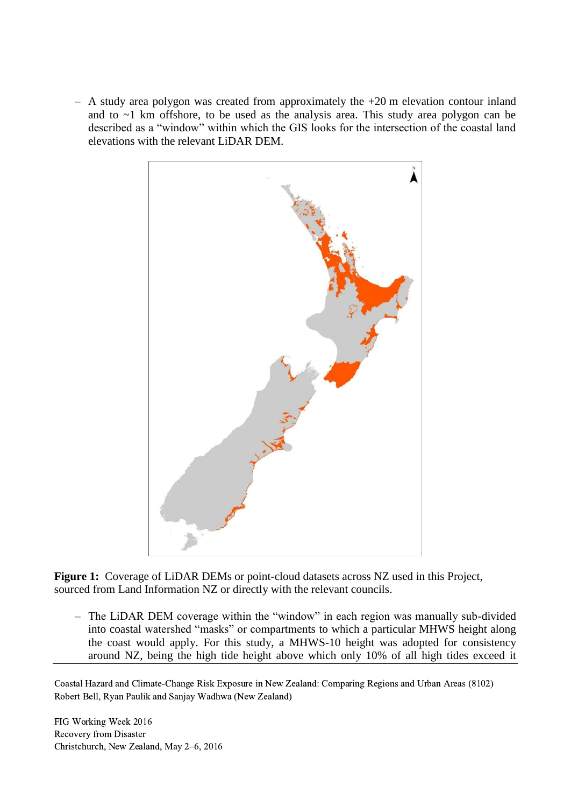$-$  A study area polygon was created from approximately the  $+20$  m elevation contour inland and to ~1 km offshore, to be used as the analysis area. This study area polygon can be described as a "window" within which the GIS looks for the intersection of the coastal land elevations with the relevant LiDAR DEM.



**Figure 1:** Coverage of LiDAR DEMs or point-cloud datasets across NZ used in this Project, sourced from Land Information NZ or directly with the relevant councils.

– The LiDAR DEM coverage within the "window" in each region was manually sub-divided into coastal watershed "masks" or compartments to which a particular MHWS height along the coast would apply. For this study, a MHWS-10 height was adopted for consistency around NZ, being the high tide height above which only 10% of all high tides exceed it

Coastal Hazard and Climate-Change Risk Exposure in New Zealand: Comparing Regions and Urban Areas (8102) Robert Bell, Ryan Paulik and Sanjay Wadhwa (New Zealand)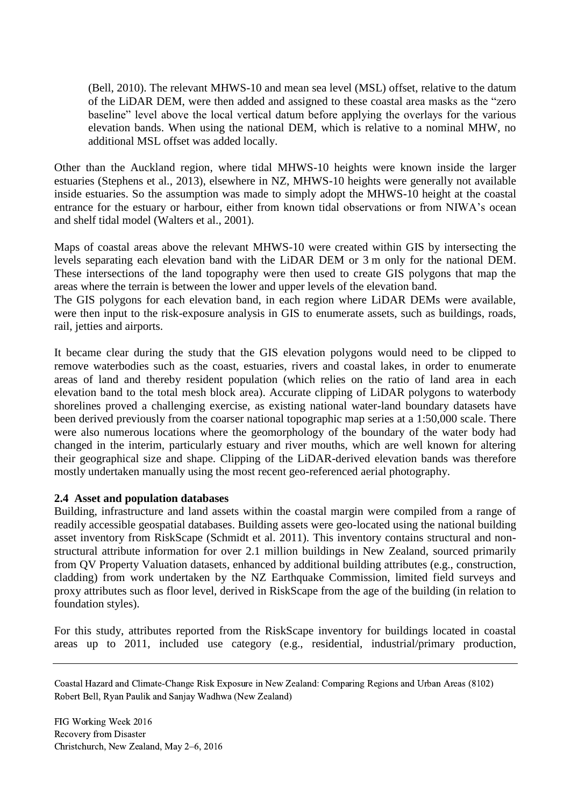(Bell, 2010). The relevant MHWS-10 and mean sea level (MSL) offset, relative to the datum of the LiDAR DEM, were then added and assigned to these coastal area masks as the "zero baseline" level above the local vertical datum before applying the overlays for the various elevation bands. When using the national DEM, which is relative to a nominal MHW, no additional MSL offset was added locally.

Other than the Auckland region, where tidal MHWS-10 heights were known inside the larger estuaries (Stephens et al., 2013), elsewhere in NZ, MHWS-10 heights were generally not available inside estuaries. So the assumption was made to simply adopt the MHWS-10 height at the coastal entrance for the estuary or harbour, either from known tidal observations or from NIWA's ocean and shelf tidal model (Walters et al., 2001).

Maps of coastal areas above the relevant MHWS-10 were created within GIS by intersecting the levels separating each elevation band with the LiDAR DEM or 3 m only for the national DEM. These intersections of the land topography were then used to create GIS polygons that map the areas where the terrain is between the lower and upper levels of the elevation band.

The GIS polygons for each elevation band, in each region where LiDAR DEMs were available, were then input to the risk-exposure analysis in GIS to enumerate assets, such as buildings, roads, rail, jetties and airports.

It became clear during the study that the GIS elevation polygons would need to be clipped to remove waterbodies such as the coast, estuaries, rivers and coastal lakes, in order to enumerate areas of land and thereby resident population (which relies on the ratio of land area in each elevation band to the total mesh block area). Accurate clipping of LiDAR polygons to waterbody shorelines proved a challenging exercise, as existing national water-land boundary datasets have been derived previously from the coarser national topographic map series at a 1:50,000 scale. There were also numerous locations where the geomorphology of the boundary of the water body had changed in the interim, particularly estuary and river mouths, which are well known for altering their geographical size and shape. Clipping of the LiDAR-derived elevation bands was therefore mostly undertaken manually using the most recent geo-referenced aerial photography.

#### **2.4 Asset and population databases**

Building, infrastructure and land assets within the coastal margin were compiled from a range of readily accessible geospatial databases. Building assets were geo-located using the national building asset inventory from RiskScape (Schmidt et al. 2011). This inventory contains structural and nonstructural attribute information for over 2.1 million buildings in New Zealand, sourced primarily from QV Property Valuation datasets, enhanced by additional building attributes (e.g., construction, cladding) from work undertaken by the NZ Earthquake Commission, limited field surveys and proxy attributes such as floor level, derived in RiskScape from the age of the building (in relation to foundation styles).

For this study, attributes reported from the RiskScape inventory for buildings located in coastal areas up to 2011, included use category (e.g., residential, industrial/primary production,

Coastal Hazard and Climate-Change Risk Exposure in New Zealand: Comparing Regions and Urban Areas (8102) Robert Bell, Ryan Paulik and Sanjay Wadhwa (New Zealand)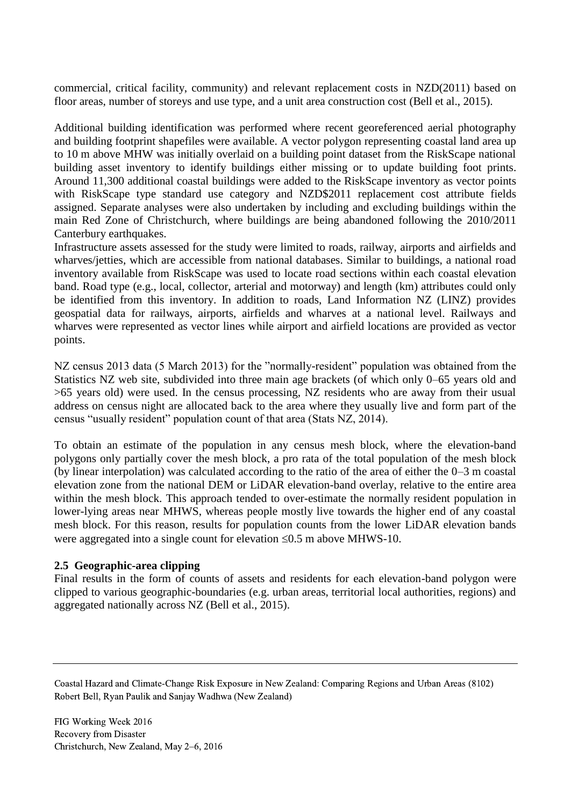commercial, critical facility, community) and relevant replacement costs in NZD(2011) based on floor areas, number of storeys and use type, and a unit area construction cost (Bell et al., 2015).

Additional building identification was performed where recent georeferenced aerial photography and building footprint shapefiles were available. A vector polygon representing coastal land area up to 10 m above MHW was initially overlaid on a building point dataset from the RiskScape national building asset inventory to identify buildings either missing or to update building foot prints. Around 11,300 additional coastal buildings were added to the RiskScape inventory as vector points with RiskScape type standard use category and NZD\$2011 replacement cost attribute fields assigned. Separate analyses were also undertaken by including and excluding buildings within the main Red Zone of Christchurch, where buildings are being abandoned following the 2010/2011 Canterbury earthquakes.

Infrastructure assets assessed for the study were limited to roads, railway, airports and airfields and wharves/jetties, which are accessible from national databases. Similar to buildings, a national road inventory available from RiskScape was used to locate road sections within each coastal elevation band. Road type (e.g., local, collector, arterial and motorway) and length (km) attributes could only be identified from this inventory. In addition to roads, Land Information NZ (LINZ) provides geospatial data for railways, airports, airfields and wharves at a national level. Railways and wharves were represented as vector lines while airport and airfield locations are provided as vector points.

NZ census 2013 data (5 March 2013) for the "normally-resident" population was obtained from the Statistics NZ web site, subdivided into three main age brackets (of which only 0–65 years old and >65 years old) were used. In the census processing, NZ residents who are away from their usual address on census night are allocated back to the area where they usually live and form part of the census "usually resident" population count of that area (Stats NZ, 2014).

To obtain an estimate of the population in any census mesh block, where the elevation-band polygons only partially cover the mesh block, a pro rata of the total population of the mesh block (by linear interpolation) was calculated according to the ratio of the area of either the 0–3 m coastal elevation zone from the national DEM or LiDAR elevation-band overlay, relative to the entire area within the mesh block. This approach tended to over-estimate the normally resident population in lower-lying areas near MHWS, whereas people mostly live towards the higher end of any coastal mesh block. For this reason, results for population counts from the lower LiDAR elevation bands were aggregated into a single count for elevation  $\leq 0.5$  m above MHWS-10.

#### **2.5 Geographic-area clipping**

Final results in the form of counts of assets and residents for each elevation-band polygon were clipped to various geographic-boundaries (e.g. urban areas, territorial local authorities, regions) and aggregated nationally across NZ (Bell et al., 2015).

Coastal Hazard and Climate-Change Risk Exposure in New Zealand: Comparing Regions and Urban Areas (8102) Robert Bell, Ryan Paulik and Sanjay Wadhwa (New Zealand)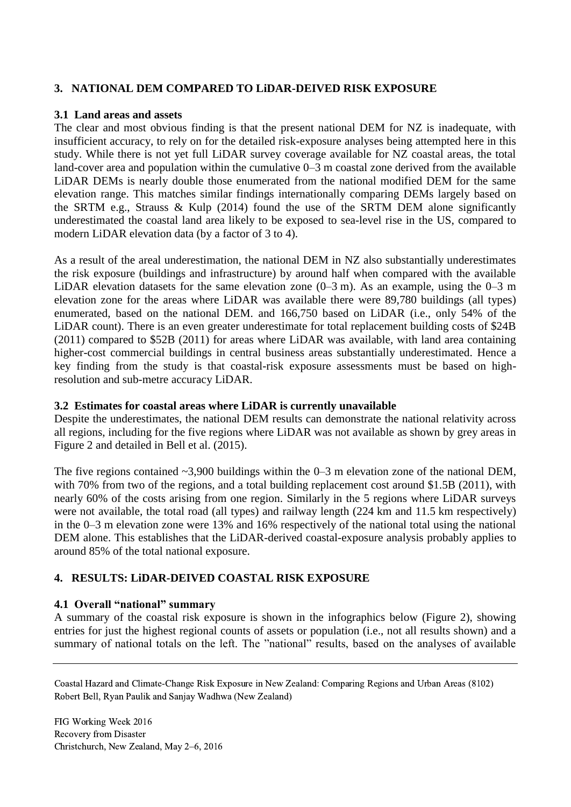### **3. NATIONAL DEM COMPARED TO LiDAR-DEIVED RISK EXPOSURE**

#### **3.1 Land areas and assets**

The clear and most obvious finding is that the present national DEM for NZ is inadequate, with insufficient accuracy, to rely on for the detailed risk-exposure analyses being attempted here in this study. While there is not yet full LiDAR survey coverage available for NZ coastal areas, the total land-cover area and population within the cumulative 0–3 m coastal zone derived from the available LiDAR DEMs is nearly double those enumerated from the national modified DEM for the same elevation range. This matches similar findings internationally comparing DEMs largely based on the SRTM e.g., Strauss & Kulp (2014) found the use of the SRTM DEM alone significantly underestimated the coastal land area likely to be exposed to sea-level rise in the US, compared to modern LiDAR elevation data (by a factor of 3 to 4).

As a result of the areal underestimation, the national DEM in NZ also substantially underestimates the risk exposure (buildings and infrastructure) by around half when compared with the available LiDAR elevation datasets for the same elevation zone  $(0-3 \text{ m})$ . As an example, using the  $0-3 \text{ m}$ elevation zone for the areas where LiDAR was available there were 89,780 buildings (all types) enumerated, based on the national DEM. and 166,750 based on LiDAR (i.e., only 54% of the LiDAR count). There is an even greater underestimate for total replacement building costs of \$24B (2011) compared to \$52B (2011) for areas where LiDAR was available, with land area containing higher-cost commercial buildings in central business areas substantially underestimated. Hence a key finding from the study is that coastal-risk exposure assessments must be based on highresolution and sub-metre accuracy LiDAR.

#### **3.2 Estimates for coastal areas where LiDAR is currently unavailable**

Despite the underestimates, the national DEM results can demonstrate the national relativity across all regions, including for the five regions where LiDAR was not available as shown by grey areas in Figure 2 and detailed in Bell et al. (2015).

The five regions contained  $\sim$ 3,900 buildings within the 0–3 m elevation zone of the national DEM, with 70% from two of the regions, and a total building replacement cost around \$1.5B (2011), with nearly 60% of the costs arising from one region. Similarly in the 5 regions where LiDAR surveys were not available, the total road (all types) and railway length (224 km and 11.5 km respectively) in the 0–3 m elevation zone were 13% and 16% respectively of the national total using the national DEM alone. This establishes that the LiDAR-derived coastal-exposure analysis probably applies to around 85% of the total national exposure.

#### **4. RESULTS: LiDAR-DEIVED COASTAL RISK EXPOSURE**

#### **4.1 Overall "national" summary**

A summary of the coastal risk exposure is shown in the infographics below (Figure 2), showing entries for just the highest regional counts of assets or population (i.e., not all results shown) and a summary of national totals on the left. The "national" results, based on the analyses of available

Coastal Hazard and Climate-Change Risk Exposure in New Zealand: Comparing Regions and Urban Areas (8102) Robert Bell, Ryan Paulik and Sanjay Wadhwa (New Zealand)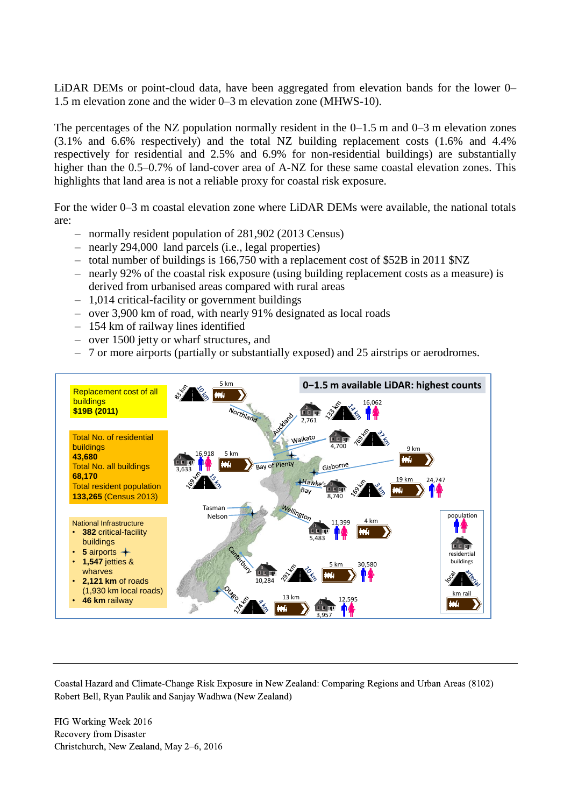LiDAR DEMs or point-cloud data, have been aggregated from elevation bands for the lower 0– 1.5 m elevation zone and the wider 0–3 m elevation zone (MHWS-10).

The percentages of the NZ population normally resident in the  $0-1.5$  m and  $0-3$  m elevation zones (3.1% and 6.6% respectively) and the total NZ building replacement costs (1.6% and 4.4% respectively for residential and 2.5% and 6.9% for non-residential buildings) are substantially higher than the 0.5–0.7% of land-cover area of A-NZ for these same coastal elevation zones. This highlights that land area is not a reliable proxy for coastal risk exposure.

For the wider 0–3 m coastal elevation zone where LiDAR DEMs were available, the national totals are:

- normally resident population of 281,902 (2013 Census)
- nearly 294,000 land parcels (i.e., legal properties)
- total number of buildings is 166,750 with a replacement cost of \$52B in 2011 \$NZ
- nearly 92% of the coastal risk exposure (using building replacement costs as a measure) is derived from urbanised areas compared with rural areas
- 1,014 critical-facility or government buildings
- over 3,900 km of road, with nearly 91% designated as local roads
- 154 km of railway lines identified
- over 1500 jetty or wharf structures, and
- 7 or more airports (partially or substantially exposed) and 25 airstrips or aerodromes.



Coastal Hazard and Climate-Change Risk Exposure in New Zealand: Comparing Regions and Urban Areas (8102) Robert Bell, Ryan Paulik and Sanjay Wadhwa (New Zealand)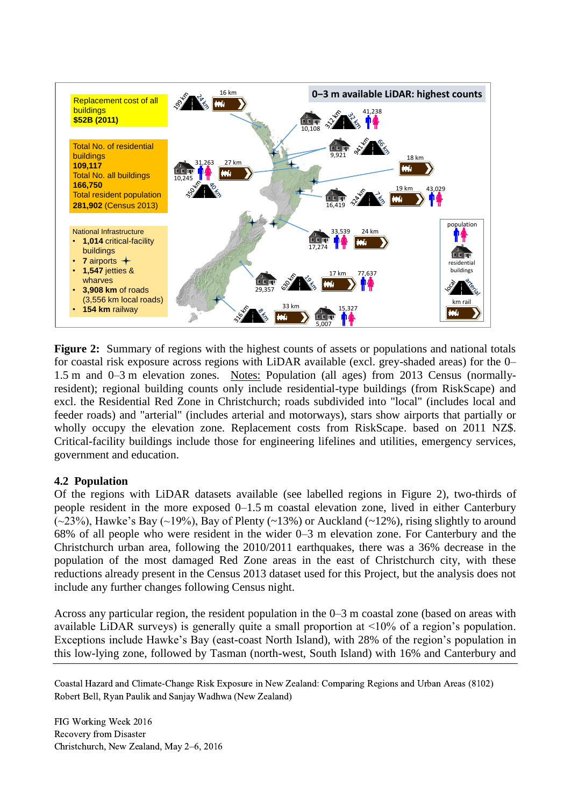

**Figure 2:** Summary of regions with the highest counts of assets or populations and national totals for coastal risk exposure across regions with LiDAR available (excl. grey-shaded areas) for the 0– 1.5 m and 0–3 m elevation zones. Notes: Population (all ages) from 2013 Census (normallyresident); regional building counts only include residential-type buildings (from RiskScape) and excl. the Residential Red Zone in Christchurch; roads subdivided into "local" (includes local and feeder roads) and "arterial" (includes arterial and motorways), stars show airports that partially or wholly occupy the elevation zone. Replacement costs from RiskScape. based on 2011 NZ\$. Critical-facility buildings include those for engineering lifelines and utilities, emergency services, government and education.

## **4.2 Population**

Of the regions with LiDAR datasets available (see labelled regions in Figure 2), two-thirds of people resident in the more exposed 0–1.5 m coastal elevation zone, lived in either Canterbury  $(\sim 23\%)$ , Hawke's Bay  $(\sim 19\%)$ , Bay of Plenty  $(\sim 13\%)$  or Auckland  $(\sim 12\%)$ , rising slightly to around 68% of all people who were resident in the wider 0–3 m elevation zone. For Canterbury and the Christchurch urban area, following the 2010/2011 earthquakes, there was a 36% decrease in the population of the most damaged Red Zone areas in the east of Christchurch city, with these reductions already present in the Census 2013 dataset used for this Project, but the analysis does not include any further changes following Census night.

Across any particular region, the resident population in the 0–3 m coastal zone (based on areas with available LiDAR surveys) is generally quite a small proportion at <10% of a region's population. Exceptions include Hawke's Bay (east-coast North Island), with 28% of the region's population in this low-lying zone, followed by Tasman (north-west, South Island) with 16% and Canterbury and

Coastal Hazard and Climate-Change Risk Exposure in New Zealand: Comparing Regions and Urban Areas (8102) Robert Bell, Ryan Paulik and Sanjay Wadhwa (New Zealand)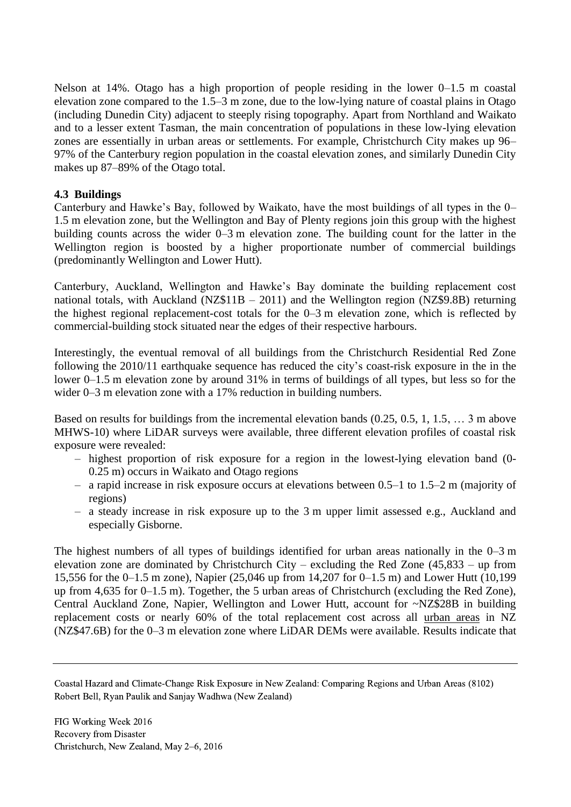Nelson at 14%. Otago has a high proportion of people residing in the lower 0–1.5 m coastal elevation zone compared to the 1.5–3 m zone, due to the low-lying nature of coastal plains in Otago (including Dunedin City) adjacent to steeply rising topography. Apart from Northland and Waikato and to a lesser extent Tasman, the main concentration of populations in these low-lying elevation zones are essentially in urban areas or settlements. For example, Christchurch City makes up 96– 97% of the Canterbury region population in the coastal elevation zones, and similarly Dunedin City makes up 87–89% of the Otago total.

## **4.3 Buildings**

Canterbury and Hawke's Bay, followed by Waikato, have the most buildings of all types in the 0– 1.5 m elevation zone, but the Wellington and Bay of Plenty regions join this group with the highest building counts across the wider 0–3 m elevation zone. The building count for the latter in the Wellington region is boosted by a higher proportionate number of commercial buildings (predominantly Wellington and Lower Hutt).

Canterbury, Auckland, Wellington and Hawke's Bay dominate the building replacement cost national totals, with Auckland (NZ\$11B – 2011) and the Wellington region (NZ\$9.8B) returning the highest regional replacement-cost totals for the 0–3 m elevation zone, which is reflected by commercial-building stock situated near the edges of their respective harbours.

Interestingly, the eventual removal of all buildings from the Christchurch Residential Red Zone following the 2010/11 earthquake sequence has reduced the city's coast-risk exposure in the in the lower 0–1.5 m elevation zone by around 31% in terms of buildings of all types, but less so for the wider 0–3 m elevation zone with a 17% reduction in building numbers.

Based on results for buildings from the incremental elevation bands (0.25, 0.5, 1, 1.5, … 3 m above MHWS-10) where LiDAR surveys were available, three different elevation profiles of coastal risk exposure were revealed:

- highest proportion of risk exposure for a region in the lowest-lying elevation band (0- 0.25 m) occurs in Waikato and Otago regions
- a rapid increase in risk exposure occurs at elevations between 0.5–1 to 1.5–2 m (majority of regions)
- a steady increase in risk exposure up to the 3 m upper limit assessed e.g., Auckland and especially Gisborne.

The highest numbers of all types of buildings identified for urban areas nationally in the 0–3 m elevation zone are dominated by Christchurch City – excluding the Red Zone (45,833 – up from 15,556 for the 0–1.5 m zone), Napier (25,046 up from 14,207 for 0–1.5 m) and Lower Hutt (10,199 up from 4,635 for 0–1.5 m). Together, the 5 urban areas of Christchurch (excluding the Red Zone), Central Auckland Zone, Napier, Wellington and Lower Hutt, account for ~NZ\$28B in building replacement costs or nearly 60% of the total replacement cost across all urban areas in NZ (NZ\$47.6B) for the 0–3 m elevation zone where LiDAR DEMs were available. Results indicate that

Coastal Hazard and Climate-Change Risk Exposure in New Zealand: Comparing Regions and Urban Areas (8102) Robert Bell, Ryan Paulik and Sanjay Wadhwa (New Zealand)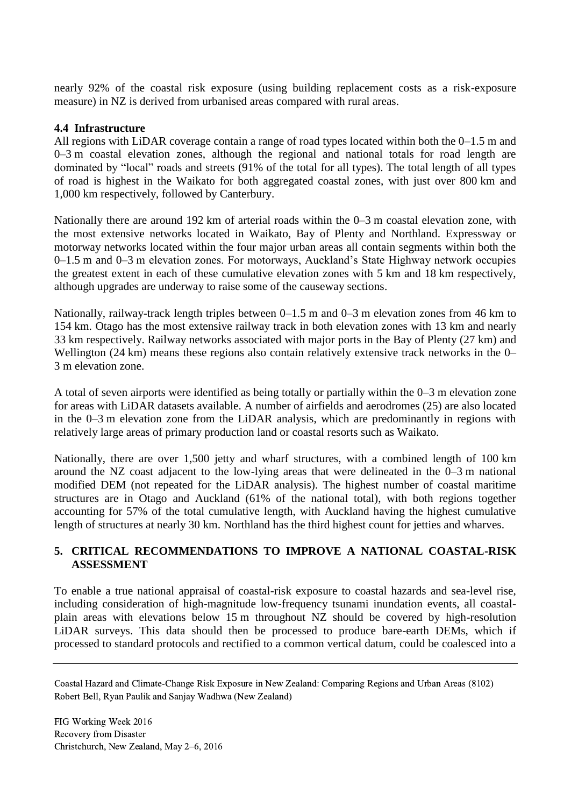nearly 92% of the coastal risk exposure (using building replacement costs as a risk-exposure measure) in NZ is derived from urbanised areas compared with rural areas.

#### **4.4 Infrastructure**

All regions with LiDAR coverage contain a range of road types located within both the 0–1.5 m and 0–3 m coastal elevation zones, although the regional and national totals for road length are dominated by "local" roads and streets (91% of the total for all types). The total length of all types of road is highest in the Waikato for both aggregated coastal zones, with just over 800 km and 1,000 km respectively, followed by Canterbury.

Nationally there are around 192 km of arterial roads within the 0–3 m coastal elevation zone, with the most extensive networks located in Waikato, Bay of Plenty and Northland. Expressway or motorway networks located within the four major urban areas all contain segments within both the 0–1.5 m and 0–3 m elevation zones. For motorways, Auckland's State Highway network occupies the greatest extent in each of these cumulative elevation zones with 5 km and 18 km respectively, although upgrades are underway to raise some of the causeway sections.

Nationally, railway-track length triples between 0–1.5 m and 0–3 m elevation zones from 46 km to 154 km. Otago has the most extensive railway track in both elevation zones with 13 km and nearly 33 km respectively. Railway networks associated with major ports in the Bay of Plenty (27 km) and Wellington (24 km) means these regions also contain relatively extensive track networks in the 0– 3 m elevation zone.

A total of seven airports were identified as being totally or partially within the 0–3 m elevation zone for areas with LiDAR datasets available. A number of airfields and aerodromes (25) are also located in the 0–3 m elevation zone from the LiDAR analysis, which are predominantly in regions with relatively large areas of primary production land or coastal resorts such as Waikato.

Nationally, there are over 1,500 jetty and wharf structures, with a combined length of 100 km around the NZ coast adjacent to the low-lying areas that were delineated in the 0–3 m national modified DEM (not repeated for the LiDAR analysis). The highest number of coastal maritime structures are in Otago and Auckland (61% of the national total), with both regions together accounting for 57% of the total cumulative length, with Auckland having the highest cumulative length of structures at nearly 30 km. Northland has the third highest count for jetties and wharves.

## **5. CRITICAL RECOMMENDATIONS TO IMPROVE A NATIONAL COASTAL-RISK ASSESSMENT**

To enable a true national appraisal of coastal-risk exposure to coastal hazards and sea-level rise, including consideration of high-magnitude low-frequency tsunami inundation events, all coastalplain areas with elevations below 15 m throughout NZ should be covered by high-resolution LiDAR surveys. This data should then be processed to produce bare-earth DEMs, which if processed to standard protocols and rectified to a common vertical datum, could be coalesced into a

Coastal Hazard and Climate-Change Risk Exposure in New Zealand: Comparing Regions and Urban Areas (8102) Robert Bell, Ryan Paulik and Sanjay Wadhwa (New Zealand)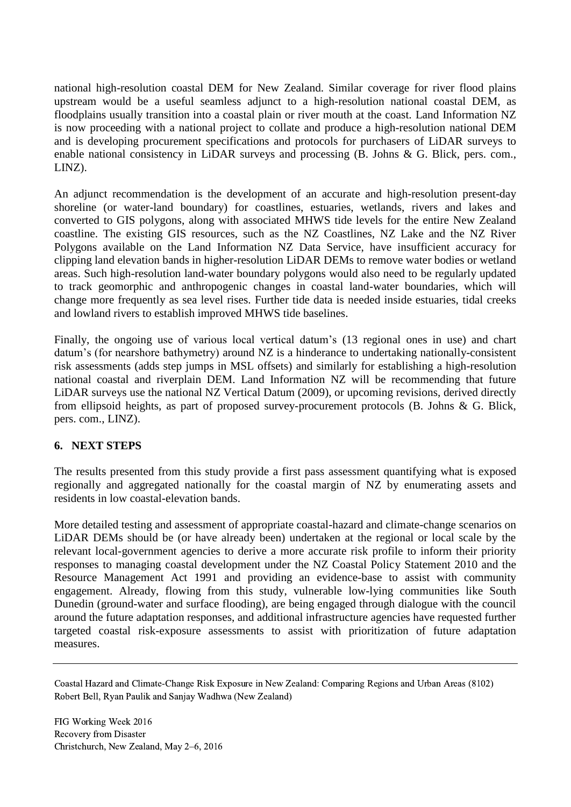national high-resolution coastal DEM for New Zealand. Similar coverage for river flood plains upstream would be a useful seamless adjunct to a high-resolution national coastal DEM, as floodplains usually transition into a coastal plain or river mouth at the coast. Land Information NZ is now proceeding with a national project to collate and produce a high-resolution national DEM and is developing procurement specifications and protocols for purchasers of LiDAR surveys to enable national consistency in LiDAR surveys and processing (B. Johns & G. Blick, pers. com., LINZ).

An adjunct recommendation is the development of an accurate and high-resolution present-day shoreline (or water-land boundary) for coastlines, estuaries, wetlands, rivers and lakes and converted to GIS polygons, along with associated MHWS tide levels for the entire New Zealand coastline. The existing GIS resources, such as the NZ Coastlines, NZ Lake and the NZ River Polygons available on the Land Information NZ Data Service, have insufficient accuracy for clipping land elevation bands in higher-resolution LiDAR DEMs to remove water bodies or wetland areas. Such high-resolution land-water boundary polygons would also need to be regularly updated to track geomorphic and anthropogenic changes in coastal land-water boundaries, which will change more frequently as sea level rises. Further tide data is needed inside estuaries, tidal creeks and lowland rivers to establish improved MHWS tide baselines.

Finally, the ongoing use of various local vertical datum's (13 regional ones in use) and chart datum's (for nearshore bathymetry) around NZ is a hinderance to undertaking nationally-consistent risk assessments (adds step jumps in MSL offsets) and similarly for establishing a high-resolution national coastal and riverplain DEM. Land Information NZ will be recommending that future LiDAR surveys use the national NZ Vertical Datum (2009), or upcoming revisions, derived directly from ellipsoid heights, as part of proposed survey-procurement protocols (B. Johns & G. Blick, pers. com., LINZ).

## **6. NEXT STEPS**

The results presented from this study provide a first pass assessment quantifying what is exposed regionally and aggregated nationally for the coastal margin of NZ by enumerating assets and residents in low coastal-elevation bands.

More detailed testing and assessment of appropriate coastal-hazard and climate-change scenarios on LiDAR DEMs should be (or have already been) undertaken at the regional or local scale by the relevant local-government agencies to derive a more accurate risk profile to inform their priority responses to managing coastal development under the NZ Coastal Policy Statement 2010 and the Resource Management Act 1991 and providing an evidence-base to assist with community engagement. Already, flowing from this study, vulnerable low-lying communities like South Dunedin (ground-water and surface flooding), are being engaged through dialogue with the council around the future adaptation responses, and additional infrastructure agencies have requested further targeted coastal risk-exposure assessments to assist with prioritization of future adaptation measures.

Coastal Hazard and Climate-Change Risk Exposure in New Zealand: Comparing Regions and Urban Areas (8102) Robert Bell, Ryan Paulik and Sanjay Wadhwa (New Zealand)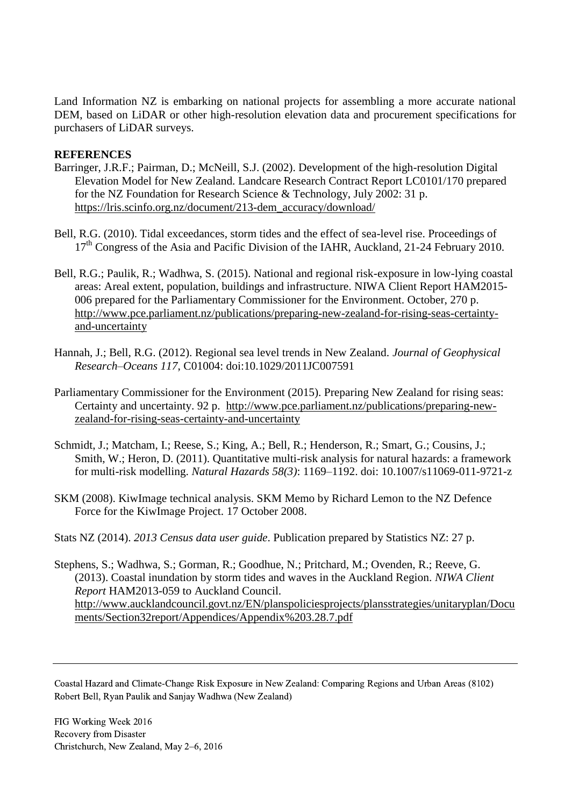Land Information NZ is embarking on national projects for assembling a more accurate national DEM, based on LiDAR or other high-resolution elevation data and procurement specifications for purchasers of LiDAR surveys.

### **REFERENCES**

- Barringer, J.R.F.; Pairman, D.; McNeill, S.J. (2002). Development of the high-resolution Digital Elevation Model for New Zealand. Landcare Research Contract Report LC0101/170 prepared for the NZ Foundation for Research Science & Technology, July 2002: 31 p. [https://lris.scinfo.org.nz/document/213-dem\\_accuracy/download/](https://lris.scinfo.org.nz/document/213-dem_accuracy/download/)
- Bell, R.G. (2010). Tidal exceedances, storm tides and the effect of sea-level rise. Proceedings of 17<sup>th</sup> Congress of the Asia and Pacific Division of the IAHR, Auckland, 21-24 February 2010.
- Bell, R.G.; Paulik, R.; Wadhwa, S. (2015). National and regional risk-exposure in low-lying coastal areas: Areal extent, population, buildings and infrastructure. NIWA Client Report HAM2015- 006 prepared for the Parliamentary Commissioner for the Environment. October, 270 p. [http://www.pce.parliament.nz/publications/preparing-new-zealand-for-rising-seas-certainty](http://www.pce.parliament.nz/publications/preparing-new-zealand-for-rising-seas-certainty-and-uncertainty)[and-uncertainty](http://www.pce.parliament.nz/publications/preparing-new-zealand-for-rising-seas-certainty-and-uncertainty)
- Hannah, J.; Bell, R.G. (2012). Regional sea level trends in New Zealand. *Journal of Geophysical Research–Oceans 117*, C01004: doi:10.1029/2011JC007591
- Parliamentary Commissioner for the Environment (2015). Preparing New Zealand for rising seas: Certainty and uncertainty. 92 p. [http://www.pce.parliament.nz/publications/preparing-new](http://www.pce.parliament.nz/publications/preparing-new-zealand-for-rising-seas-certainty-and-uncertainty)[zealand-for-rising-seas-certainty-and-uncertainty](http://www.pce.parliament.nz/publications/preparing-new-zealand-for-rising-seas-certainty-and-uncertainty)
- Schmidt, J.; Matcham, I.; Reese, S.; King, A.; Bell, R.; Henderson, R.; Smart, G.; Cousins, J.; Smith, W.; Heron, D. (2011). Quantitative multi-risk analysis for natural hazards: a framework for multi-risk modelling. *Natural Hazards 58(3)*: 1169–1192. doi: 10.1007/s11069-011-9721-z
- SKM (2008). KiwImage technical analysis. SKM Memo by Richard Lemon to the NZ Defence Force for the KiwImage Project. 17 October 2008.

Stats NZ (2014). *2013 Census data user guide*. Publication prepared by Statistics NZ: 27 p.

Stephens, S.; Wadhwa, S.; Gorman, R.; Goodhue, N.; Pritchard, M.; Ovenden, R.; Reeve, G. (2013). Coastal inundation by storm tides and waves in the Auckland Region. *NIWA Client Report* HAM2013-059 to Auckland Council. [http://www.aucklandcouncil.govt.nz/EN/planspoliciesprojects/plansstrategies/unitaryplan/Docu](http://www.aucklandcouncil.govt.nz/EN/planspoliciesprojects/plansstrategies/unitaryplan/Documents/Section32report/Appendices/Appendix%203.28.7.pdf) [ments/Section32report/Appendices/Appendix%203.28.7.pdf](http://www.aucklandcouncil.govt.nz/EN/planspoliciesprojects/plansstrategies/unitaryplan/Documents/Section32report/Appendices/Appendix%203.28.7.pdf)

Coastal Hazard and Climate-Change Risk Exposure in New Zealand: Comparing Regions and Urban Areas (8102) Robert Bell, Ryan Paulik and Sanjay Wadhwa (New Zealand)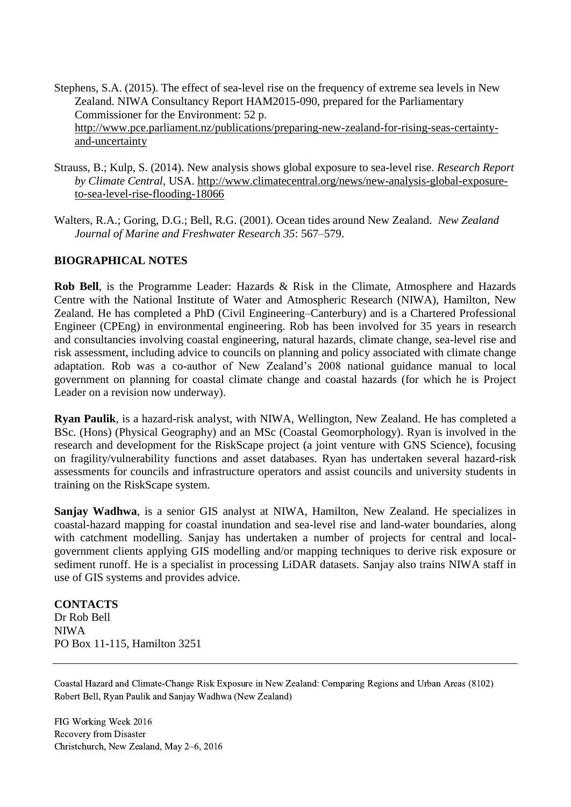Stephens, S.A. (2015). The effect of sea-level rise on the frequency of extreme sea levels in New Zealand. NIWA Consultancy Report HAM2015-090, prepared for the Parliamentary Commissioner for the Environment: 52 p. [http://www.pce.parliament.nz/publications/preparing-new-zealand-for-rising-seas-certainty](http://www.pce.parliament.nz/publications/preparing-new-zealand-for-rising-seas-certainty-and-uncertainty)[and-uncertainty](http://www.pce.parliament.nz/publications/preparing-new-zealand-for-rising-seas-certainty-and-uncertainty)

- Strauss, B.; Kulp, S. (2014). New analysis shows global exposure to sea-level rise. *Research Report by Climate Central,* USA. [http://www.climatecentral.org/news/new-analysis-global-exposure](http://www.climatecentral.org/news/new-analysis-global-exposure-to-sea-level-rise-flooding-18066)[to-sea-level-rise-flooding-18066](http://www.climatecentral.org/news/new-analysis-global-exposure-to-sea-level-rise-flooding-18066)
- Walters, R.A.; Goring, D.G.; Bell, R.G. (2001). Ocean tides around New Zealand. *New Zealand Journal of Marine and Freshwater Research 35*: 567–579.

### **BIOGRAPHICAL NOTES**

**Rob Bell**, is the Programme Leader: Hazards & Risk in the Climate, Atmosphere and Hazards Centre with the National Institute of Water and Atmospheric Research (NIWA), Hamilton, New Zealand. He has completed a PhD (Civil Engineering–Canterbury) and is a Chartered Professional Engineer (CPEng) in environmental engineering. Rob has been involved for 35 years in research and consultancies involving coastal engineering, natural hazards, climate change, sea-level rise and risk assessment, including advice to councils on planning and policy associated with climate change adaptation. Rob was a co-author of New Zealand's 2008 national guidance manual to local government on planning for coastal climate change and coastal hazards (for which he is Project Leader on a revision now underway).

**Ryan Paulik**, is a hazard-risk analyst, with NIWA, Wellington, New Zealand. He has completed a BSc. (Hons) (Physical Geography) and an MSc (Coastal Geomorphology). Ryan is involved in the research and development for the RiskScape project (a joint venture with GNS Science), focusing on fragility/vulnerability functions and asset databases. Ryan has undertaken several hazard-risk assessments for councils and infrastructure operators and assist councils and university students in training on the RiskScape system.

**Sanjay Wadhwa**, is a senior GIS analyst at NIWA, Hamilton, New Zealand. He specializes in coastal-hazard mapping for coastal inundation and sea-level rise and land-water boundaries, along with catchment modelling. Sanjay has undertaken a number of projects for central and localgovernment clients applying GIS modelling and/or mapping techniques to derive risk exposure or sediment runoff. He is a specialist in processing LiDAR datasets. Sanjay also trains NIWA staff in use of GIS systems and provides advice.

**CONTACTS** Dr Rob Bell NIWA PO Box 11-115, Hamilton 3251

Coastal Hazard and Climate-Change Risk Exposure in New Zealand: Comparing Regions and Urban Areas (8102) Robert Bell, Ryan Paulik and Sanjay Wadhwa (New Zealand)